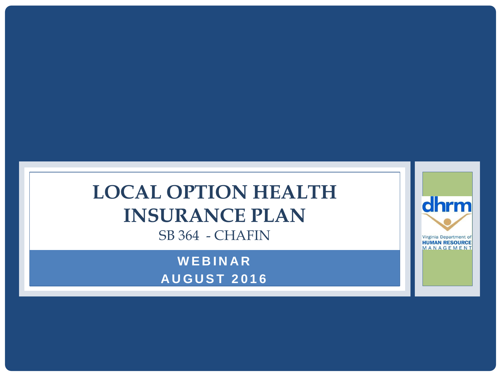## **LOCAL OPTION HEALTH INSURANCE PLAN** SB 364 - CHAFIN

**W E B I N A R A U G U S T 2 0 1 6**

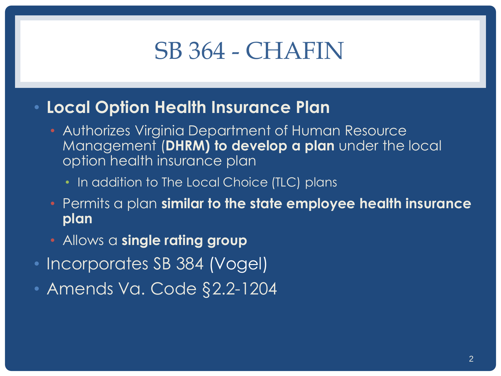# SB 364 - CHAFIN

- **Local Option Health Insurance Plan**
	- Authorizes Virginia Department of Human Resource Management (**DHRM) to develop a plan** under the local option health insurance plan
		- In addition to The Local Choice (TLC) plans
	- Permits a plan **similar to the state employee health insurance plan**
	- Allows a **single rating group**
- Incorporates SB 384 (Vogel)
- Amends Va. Code §2.2-1204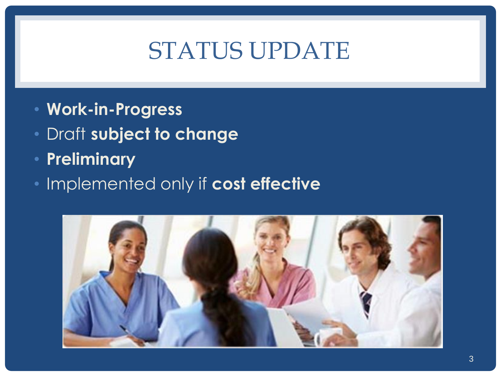# STATUS UPDATE

- **Work-in-Progress**
- Draft **subject to change**
- **Preliminary**
- Implemented only if **cost effective**

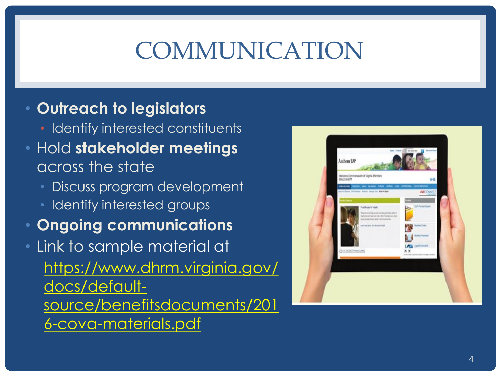# COMMUNICATION

#### • **Outreach to legislators**

- Identify interested constituents
- Hold **stakeholder meetings**  across the state
	- Discuss program development
	- Identify interested groups
- **Ongoing communications**
- Link to sample material at https://www.dhrm.virginia.gov/ docs/defaultsource/benefitsdocuments/201 6-cova-materials.pdf

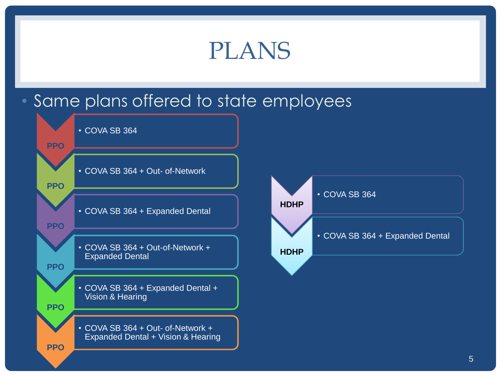# PLANS

#### • Same plans offered to state employees

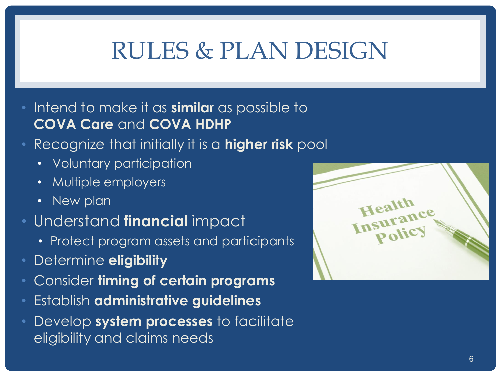# RULES & PLAN DESIGN

- Intend to make it as **similar** as possible to **COVA Care** and **COVA HDHP**
- Recognize that initially it is a **higher risk** pool
	- Voluntary participation
	- Multiple employers
	- New plan
- Understand **financial** impact
	- Protect program assets and participants
- Determine **eligibility**
- Consider **timing of certain programs**
- Establish **administrative guidelines**
- Develop **system processes** to facilitate eligibility and claims needs

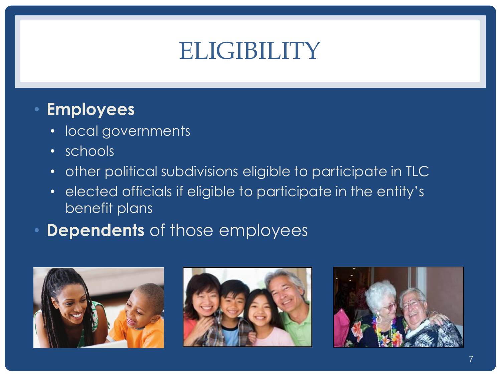# ELIGIBILITY

### • **Employees**

- local governments
- schools
- other political subdivisions eligible to participate in TLC
- elected officials if eligible to participate in the entity's benefit plans
- **Dependents** of those employees





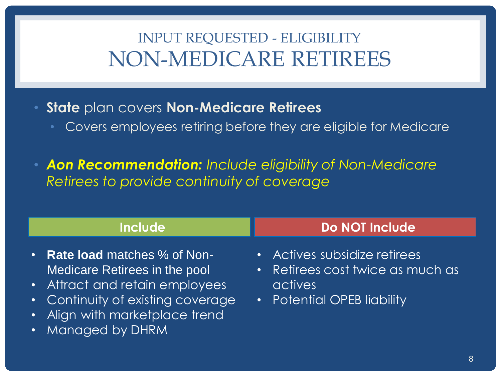## INPUT REQUESTED - ELIGIBILITY NON-MEDICARE RETIREES

- **State** plan covers **Non-Medicare Retirees**
	- Covers employees retiring before they are eligible for Medicare

• *Aon Recommendation: Include eligibility of Non-Medicare Retirees to provide continuity of coverage*

| <b>Include</b>                                                                                                                                                                               | <b>Do NOT Include</b>                                                                                     |
|----------------------------------------------------------------------------------------------------------------------------------------------------------------------------------------------|-----------------------------------------------------------------------------------------------------------|
| • Rate load matches % of Non-<br>Medicare Retirees in the pool<br>• Attract and retain employees<br>• Continuity of existing coverage<br>• Align with marketplace trend<br>• Managed by DHRM | • Actives subsidize retirees<br>• Retirees cost twice as much as<br>actives<br>• Potential OPEB liability |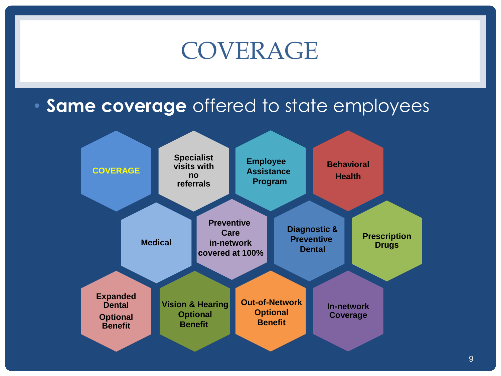# COVERAGE

### • **Same coverage** offered to state employees

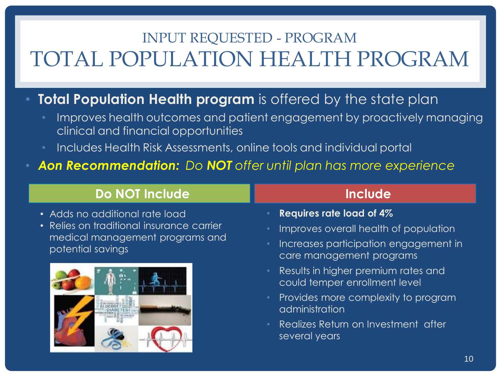## INPUT REQUESTED - PROGRAM TOTAL POPULATION HEALTH PROGRAM

#### **Total Population Health program** is offered by the state plan

- Improves health outcomes and patient engagement by proactively managing clinical and financial opportunities
- Includes Health Risk Assessments, online tools and individual portal
- *Aon Recommendation: Do NOT offer until plan has more experience*

#### **Do NOT Include**

- Adds no additional rate load
- Relies on traditional insurance carrier medical management programs and potential savings



#### **Include**

- **Requires rate load of 4%**
- Improves overall health of population
- Increases participation engagement in care management programs
- Results in higher premium rates and could temper enrollment level
- Provides more complexity to program administration
- Realizes Return on Investment after several years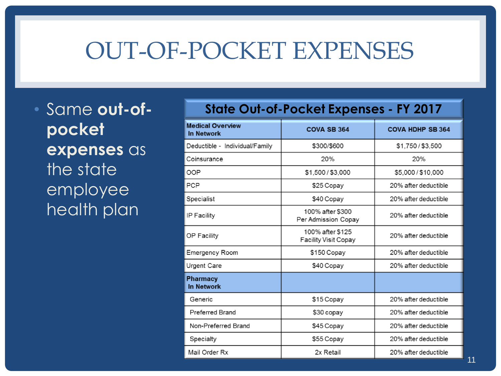# OUT-OF-POCKET EXPENSES

• Same **out-ofpocket expenses** as the state employee health plan

| <u>SIGIE OUI-OI-FOCKEI EXPEIISES - FT ZUT7</u> |                                                 |                         |
|------------------------------------------------|-------------------------------------------------|-------------------------|
| <b>Medical Overview</b><br><b>In Network</b>   | <b>COVA SB 364</b>                              | <b>COVA HDHP SB 364</b> |
| Deductible - Individual/Family                 | \$300/\$600                                     | \$1,750/\$3,500         |
| Coinsurance                                    | 20%                                             | 20%                     |
| OOP                                            | \$1,500/\$3,000                                 | \$5,000 / \$10,000      |
| <b>PCP</b>                                     | \$25 Copay                                      | 20% after deductible    |
| Specialist                                     | \$40 Copay                                      | 20% after deductible    |
| IP Facility                                    | 100% after \$300<br>Per Admission Copay         | 20% after deductible    |
| OP Facility                                    | 100% after \$125<br><b>Facility Visit Copay</b> | 20% after deductible    |
| <b>Emergency Room</b>                          | \$150 Copay                                     | 20% after deductible    |
| Urgent Care                                    | \$40 Copay                                      | 20% after deductible    |
| <b>Pharmacy</b><br><b>In Network</b>           |                                                 |                         |
| Generic                                        | \$15 Copay                                      | 20% after deductible    |
| <b>Preferred Brand</b>                         | \$30 copay                                      | 20% after deductible    |
| Non-Preferred Brand                            | \$45 Copay                                      | 20% after deductible    |
| Specialty                                      | \$55 Copay                                      | 20% after deductible    |
| Mail Order Rx                                  | 2x Retail                                       | 20% after deductible    |

State Out-of-Pocket Expenses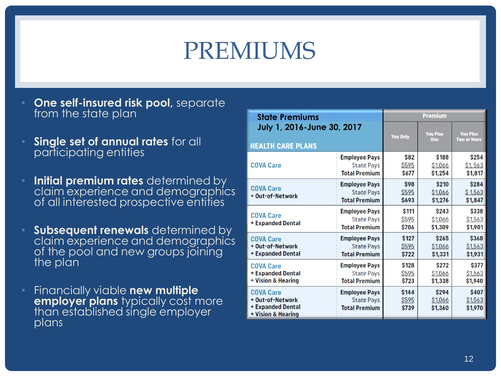# PREMIUMS

- **One self-insured risk pool,** separate from the state plan
- **Single set of annual rates** for all participating entities
- **Initial premium rates** determined by claim experience and demographics of all interested prospective entities
- **Subsequent renewals** determined by claim experience and demographics of the pool and new groups joining the plan
- Financially viable **new multiple employer plans** typically cost more than established single employer plans

| <b>State Premiums</b>                                                           |                                                                   | <b>Premium</b>                |                                   |                             |
|---------------------------------------------------------------------------------|-------------------------------------------------------------------|-------------------------------|-----------------------------------|-----------------------------|
| July 1, 2016-June 30, 2017                                                      |                                                                   | <b>You Only</b>               | <b>You Plus</b>                   | <b>You Plus</b>             |
| <b>HEALTH CARE PLANS</b>                                                        |                                                                   |                               | One                               | <b>Two or More</b>          |
| <b>COVA Care</b>                                                                | <b>Employee Pays</b>                                              | <b>S82</b>                    | <b>\$188</b>                      | \$254                       |
|                                                                                 | <b>State Pays</b>                                                 | S <sub>595</sub>              | \$1,066                           | \$1, 563                    |
|                                                                                 | <b>Total Premium</b>                                              | <b>S677</b>                   | \$1,254                           | \$1,817                     |
| <b>COVA Care</b><br>+ Out-of-Network                                            | <b>Employee Pays</b><br><b>State Pays</b><br><b>Total Premium</b> | \$98<br><b>\$595</b><br>\$693 | \$210<br>\$1,066<br>\$1,276       | \$284<br>\$1,563<br>\$1,847 |
| <b>COVA Care</b><br>+ Expanded Dental                                           | <b>Employee Pays</b><br><b>State Pays</b><br><b>Total Premium</b> | \$111<br>\$595<br>\$706       | \$243<br><b>S1,066</b><br>\$1,309 | \$338<br>\$1,563<br>\$1,901 |
| <b>COVA Care</b>                                                                | <b>Employee Pays</b>                                              | \$127                         | <b>\$265</b>                      | \$368                       |
| + Out-of-Network                                                                | <b>State Pays</b>                                                 | <b>S595</b>                   | \$1,066                           | \$1,563                     |
| + Expanded Dental                                                               | <b>Total Premium</b>                                              | \$722                         | \$1,331                           | \$1,931                     |
| <b>COVA Care</b>                                                                | <b>Employee Pays</b>                                              | \$128                         | \$272                             | \$377                       |
| <b>+ Expanded Dental</b>                                                        | <b>State Pays</b>                                                 | \$595                         | \$1,066                           | \$1,563                     |
| + Vision & Hearing                                                              | <b>Total Premium</b>                                              | \$723                         | \$1,338                           | \$1,940                     |
| <b>COVA Care</b><br>+ Out-of-Network<br>+ Expanded Dental<br>+ Vision & Hearing | <b>Employee Pays</b><br><b>State Pays</b><br><b>Total Premium</b> | \$144<br>\$595<br>\$739       | \$294<br>\$1,066<br>\$1,360       | \$407<br>\$1,563<br>\$1,970 |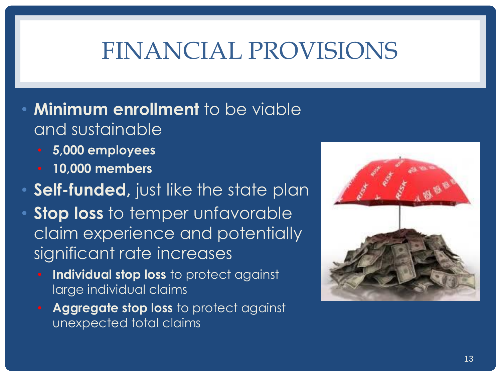# FINANCIAL PROVISIONS

- **Minimum enrollment** to be viable and sustainable
	- **5,000 employees**
	- **10,000 members**
- **Self-funded, just like the state plan**
- **Stop loss** to temper unfavorable claim experience and potentially significant rate increases
	- **Individual stop loss** to protect against large individual claims
	- **Aggregate stop loss** to protect against unexpected total claims

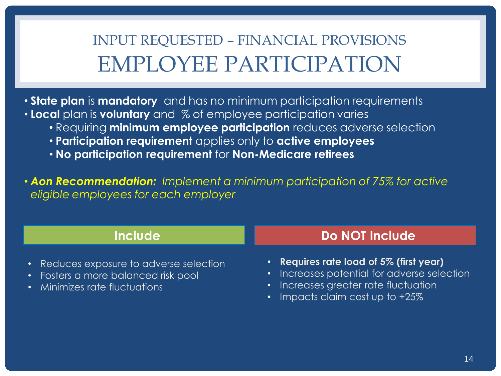INPUT REQUESTED – FINANCIAL PROVISIONS EMPLOYEE PARTICIPATION

• **State plan** is **mandatory** and has no minimum participation requirements • **Local** plan is **voluntary** and % of employee participation varies

- Requiring **minimum employee participation** reduces adverse selection
- **Participation requirement** applies only to **active employees**
- **No participation requirement** for **Non-Medicare retirees**

• *Aon Recommendation: Implement a minimum participation of 75% for active eligible employees for each employer*

| <b>Include</b>                                                                                                  | Do NOT Include                                                                                                                                                     |
|-----------------------------------------------------------------------------------------------------------------|--------------------------------------------------------------------------------------------------------------------------------------------------------------------|
| • Reduces exposure to adverse selection<br>• Fosters a more balanced risk pool<br>• Minimizes rate fluctuations | • Requires rate load of $5\%$ (first year)<br>• Increases potential for adverse selection<br>Increases greater rate fluctuation<br>• Impacts claim cost up to +25% |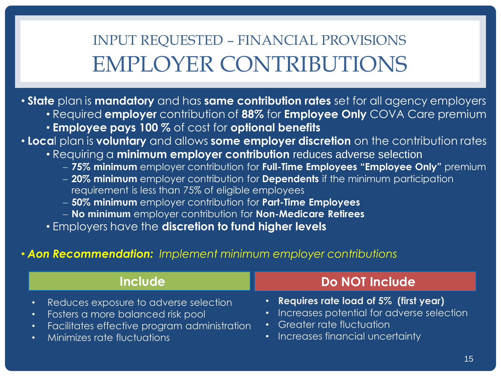## INPUT REQUESTED – FINANCIAL PROVISIONS EMPLOYER CONTRIBUTIONS

• **State** plan is **mandatory** and has **same contribution rates** set for all agency employers

- Required **employer** contribution of **88%** for **Employee Only** COVA Care premium
- **Employee pays 100 %** of cost for **optional benefits**

• **Loca**l plan is **voluntary** and allows **some employer discretion** on the contribution rates

- Requiring a **minimum employer contribution** reduces adverse selection
	- **75% minimum** employer contribution for **Full-Time Employees "Employee Only"** premium
	- **20% minimum** employer contribution for **Dependents** if the minimum participation requirement is less than 75% of eligible employees
	- **50% minimum** employer contribution for **Part-Time Employees**
	- **No minimum** employer contribution for **Non-Medicare Retirees**
- Employers have the **discretion to fund higher levels**

#### • *Aon Recommendation: Implement minimum employer contributions*

| <b>Include</b>                                 | Do NOT Include                              |
|------------------------------------------------|---------------------------------------------|
| Reduces exposure to adverse selection          | • Requires rate load of $5\%$ (first year)  |
| $\bullet$                                      | · Increases potential for adverse selection |
| • Fosters a more balanced risk pool            | <b>Greater rate fluctuation</b>             |
| · Facilitates effective program administration | $\bullet$                                   |
| • Minimizes rate fluctuations                  | • Increases financial uncertainty           |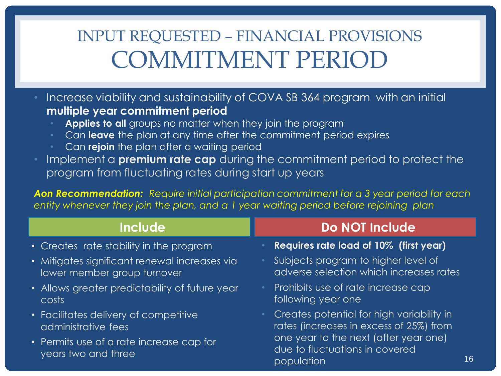## INPUT REQUESTED – FINANCIAL PROVISIONS COMMITMENT PERIOD

• Increase viability and sustainability of COVA SB 364 program with an initial **multiple year commitment period** 

- Applies to all groups no matter when they join the program
- Can **leave** the plan at any time after the commitment period expires
- Can **rejoin** the plan after a waiting period
- Implement a **premium rate cap** during the commitment period to protect the program from fluctuating rates during start up years

*Aon Recommendation: Require initial participation commitment for a 3 year period for each entity whenever they join the plan, and a 1 year waiting period before rejoining plan*

| <b>Include</b>                                                  | <b>Do NOT Include</b>                                                                 |
|-----------------------------------------------------------------|---------------------------------------------------------------------------------------|
| • Creates rate stability in the program                         | <b>Requires rate load of 10% (first year)</b>                                         |
| • Mitigates significant renewal increases via                   | Subjects program to higher level of                                                   |
| lower member group turnover                                     | adverse selection which increases rates                                               |
| • Allows greater predictability of future year                  | Prohibits use of rate increase cap                                                    |
| costs                                                           | following year one                                                                    |
| • Facilitates delivery of competitive                           | Creates potential for high variability in                                             |
| administrative fees                                             | rates (increases in excess of 25%) from                                               |
| • Permits use of a rate increase cap for<br>years two and three | one year to the next (after year one)<br>due to fluctuations in covered<br>population |

16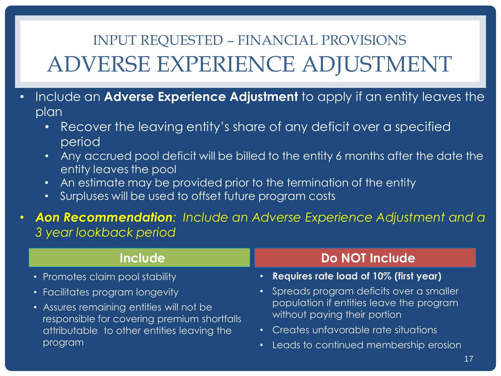## INPUT REQUESTED – FINANCIAL PROVISIONS ADVERSE EXPERIENCE ADJUSTMENT

- Include an **Adverse Experience Adjustment** to apply if an entity leaves the plan
	- Recover the leaving entity's share of any deficit over a specified period
	- Any accrued pool deficit will be billed to the entity 6 months after the date the entity leaves the pool
	- An estimate may be provided prior to the termination of the entity
	- Surpluses will be used to offset future program costs
- *Aon Recommendation: Include an Adverse Experience Adjustment and a 3 year lookback period*

- Promotes claim pool stability
- Facilitates program longevity
- Assures remaining entities will not be responsible for covering premium shortfalls attributable to other entities leaving the program

#### **Include Do NOT Include**

- **Requires rate load of 10% (first year)**
- Spreads program deficits over a smaller population if entities leave the program without paying their portion
- Creates unfavorable rate situations
- Leads to continued membership erosion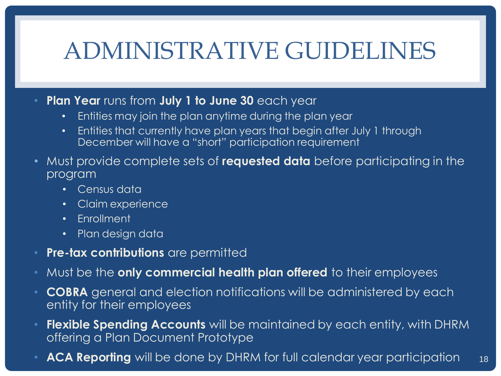# ADMINISTRATIVE GUIDELINES

- **Plan Year** runs from **July 1 to June 30** each year
	- Entities may join the plan anytime during the plan year
	- Entities that currently have plan years that begin after July 1 through December will have a "short" participation requirement
- Must provide complete sets of **requested data** before participating in the program
	- Census data
	- Claim experience
	- Enrollment
	- Plan design data
- **Pre-tax contributions** are permitted
- Must be the **only commercial health plan offered** to their employees
- **COBRA** general and election notifications will be administered by each entity for their employees
- **Flexible Spending Accounts** will be maintained by each entity, with DHRM offering a Plan Document Prototype
- **ACA Reporting** will be done by DHRM for full calendar year participation 18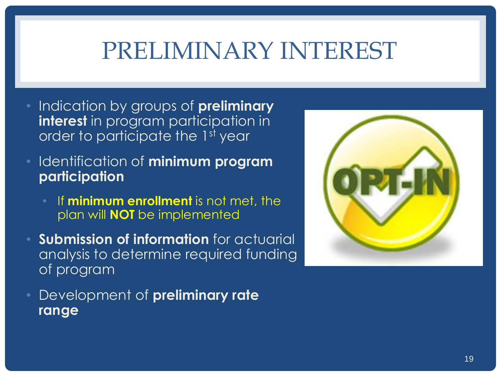# PRELIMINARY INTEREST

- Indication by groups of **preliminary interest** in program participation in order to participate the 1st year
- Identification of **minimum program participation**
	- If **minimum enrollment** is not met, the plan will **NOT** be implemented
- **Submission of information** for actuarial analysis to determine required funding of program
- Development of **preliminary rate range**

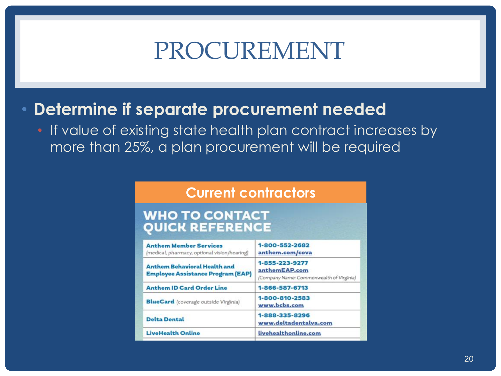# PROCUREMENT

#### • **Determine if separate procurement needed**

• If value of existing state health plan contract increases by more than 25%, a plan procurement will be required

#### **Current contractors**

#### WHO TO CONTACT **QUICK REFERENCE**

| <b>Anthem Member Services</b><br>(medical, pharmacy, optional vision/hearing)   | 1-800-552-2682<br>anthem.com/cova                                           |  |
|---------------------------------------------------------------------------------|-----------------------------------------------------------------------------|--|
| <b>Anthem Behavioral Health and</b><br><b>Employee Assistance Program (EAP)</b> | 1-855-223-9277<br>anthemEAP.com<br>(Company Name: Commonwealth of Virginia) |  |
| <b>Anthem ID Card Order Line</b>                                                | 1-866-587-6713                                                              |  |
| <b>BlueCard</b> (coverage outside Virginia)                                     | 1-800-810-2583<br>www.bcbs.com<br>1-888-335-8296<br>www.deltadentalva.com   |  |
| <b>Delta Dental</b>                                                             |                                                                             |  |
| <b>LiveHealth Online</b>                                                        | livehealthonline.com                                                        |  |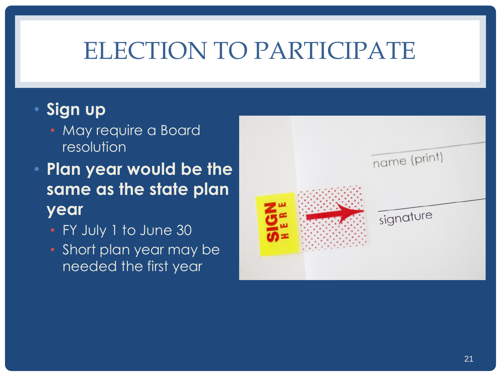# ELECTION TO PARTICIPATE

#### • **Sign up**

- May require a Board resolution
- **Plan year would be the same as the state plan year**
	- FY July 1 to June 30
	- Short plan year may be needed the first year

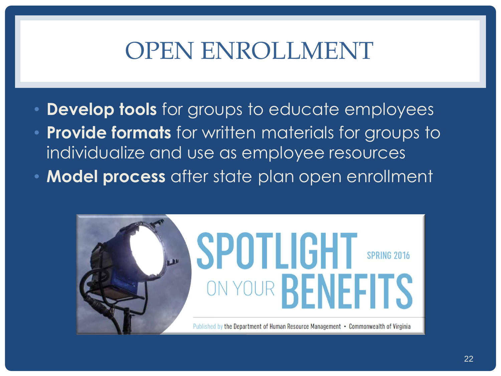# OPEN ENROLLMENT

- **Develop tools** for groups to educate employees
- **Provide formats** for written materials for groups to individualize and use as employee resources
- **Model process** after state plan open enrollment

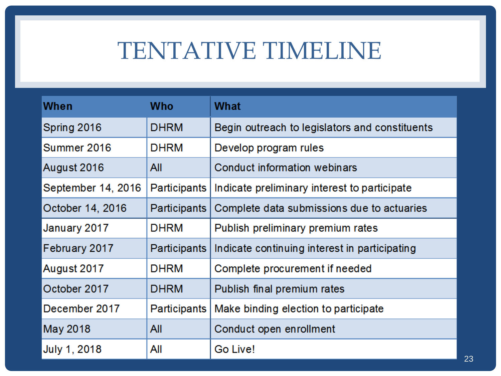# TENTATIVE TIMELINE

| When               | Who                 | <b>What</b>                                    |
|--------------------|---------------------|------------------------------------------------|
| Spring 2016        | <b>DHRM</b>         | Begin outreach to legislators and constituents |
| Summer 2016        | <b>DHRM</b>         | Develop program rules                          |
| August 2016        | All                 | Conduct information webinars                   |
| September 14, 2016 | <b>Participants</b> | Indicate preliminary interest to participate   |
| October 14, 2016   | <b>Participants</b> | Complete data submissions due to actuaries     |
| January 2017       | <b>DHRM</b>         | Publish preliminary premium rates              |
| February 2017      | <b>Participants</b> | Indicate continuing interest in participating  |
| August 2017        | <b>DHRM</b>         | Complete procurement if needed                 |
| October 2017       | <b>DHRM</b>         | Publish final premium rates                    |
| December 2017      | <b>Participants</b> | Make binding election to participate           |
| May 2018           | All                 | Conduct open enrollment                        |
| July 1, 2018       | All                 | Go Live!                                       |